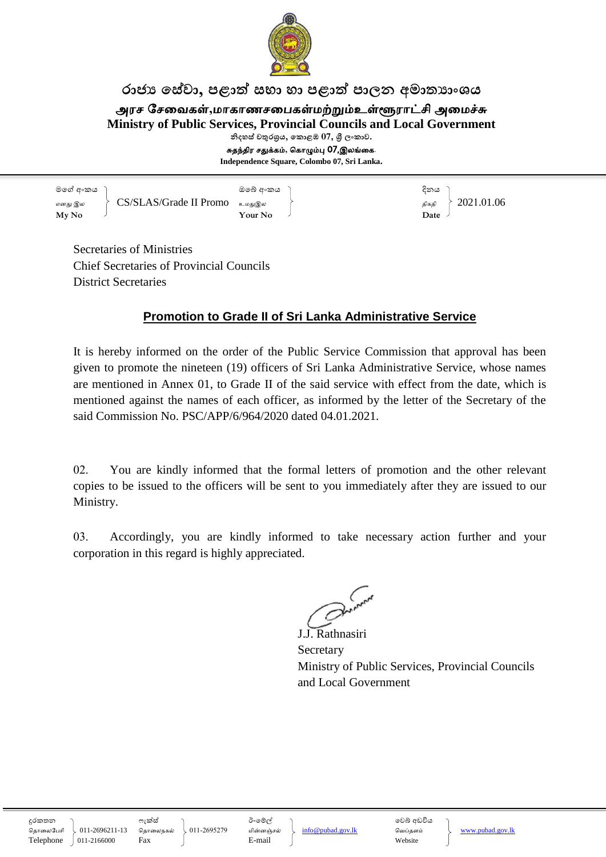

## රාජා සේවා, පළාත් සභා හා පළාත් පාලන අමාත**ාංශය**

அரச சேவைகள்,மாகாணசபைகள்மற்றும்உள்ளூராட்சி அமைச்சு

**Ministry of Public Services, Provincial Councils and Local Government**

නිදහස් **චතුරශුය, කොළඹ 07, ශූී ලංකාව.** 

சுதந்திர சதுக்கம்**,** ககாழும்பு 07,இலங்வக.

**Independence Square, Colombo 07, Sri Lanka.**

මගේ අංකය ) අංක දෙකය මගේ අංකය ) අංක දෙකය දිනය எனது இல  $\qquad \qquad \left\{\begin{array}{c} \textrm{CS/SLAS/Grade II} \textrm{ Promo} & \left.\right\downarrow\right. \ \left.\left.\right. \right. \left. \right. \left. \right. \left. \right. \left. \right. \left. \right. \left. \right. \left. \right. \left. \left. \right. \right. \left. \left. \right. \left. \right. \left. \left. \right. \right. \left. \left. \right. \right. \left. \left. \right. \right. \left. \left. \right. \right. \left. \left. \right. \right. \left. \left. \right. \right. \left. \left. \right. \$ **My No Your No Date**

Secretaries of Ministries Chief Secretaries of Provincial Councils District Secretaries

## **Promotion to Grade II of Sri Lanka Administrative Service**

It is hereby informed on the order of the Public Service Commission that approval has been given to promote the nineteen (19) officers of Sri Lanka Administrative Service, whose names are mentioned in Annex 01, to Grade II of the said service with effect from the date, which is mentioned against the names of each officer, as informed by the letter of the Secretary of the said Commission No. PSC/APP/6/964/2020 dated 04.01.2021.

02. You are kindly informed that the formal letters of promotion and the other relevant copies to be issued to the officers will be sent to you immediately after they are issued to our Ministry.

03. Accordingly, you are kindly informed to take necessary action further and your corporation in this regard is highly appreciated.

 $\zeta$ 

J.J. Rathnasiri Secretary Ministry of Public Services, Provincial Councils and Local Government